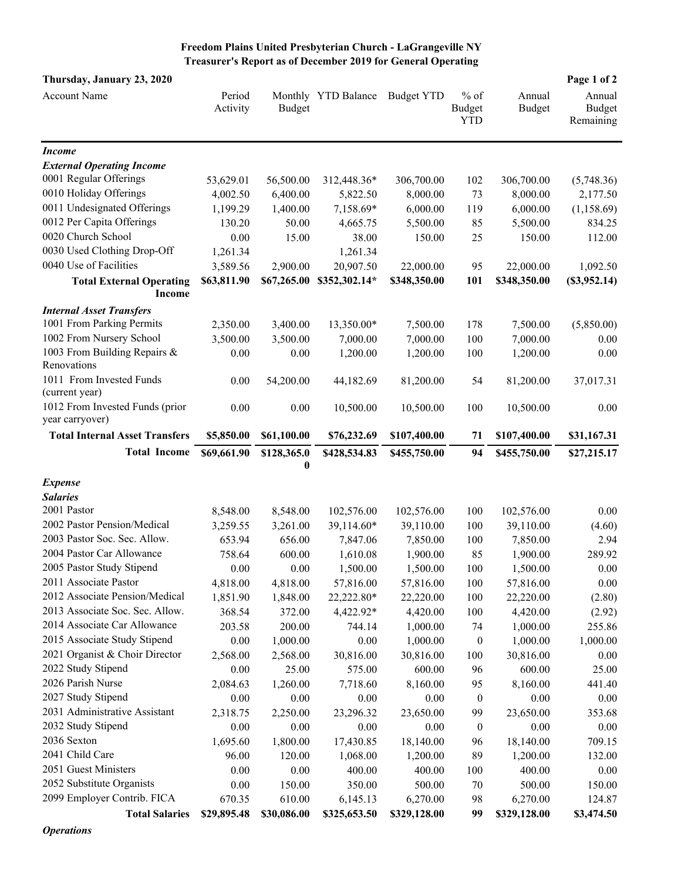## **Freedom Plains United Presbyterian Church - LaGrangeville NY Treasurer's Report as of December 2019 for General Operating**

| Thursday, January 23, 2020                           |                       |                       |                          |                          |                                       |                          | Page 1 of 2                          |
|------------------------------------------------------|-----------------------|-----------------------|--------------------------|--------------------------|---------------------------------------|--------------------------|--------------------------------------|
| <b>Account Name</b>                                  | Period<br>Activity    | <b>Budget</b>         | Monthly YTD Balance      | <b>Budget YTD</b>        | $%$ of<br><b>Budget</b><br><b>YTD</b> | Annual<br><b>Budget</b>  | Annual<br><b>Budget</b><br>Remaining |
| <b>Income</b>                                        |                       |                       |                          |                          |                                       |                          |                                      |
| <b>External Operating Income</b>                     |                       |                       |                          |                          |                                       |                          |                                      |
| 0001 Regular Offerings                               | 53,629.01             | 56,500.00             | 312,448.36*              | 306,700.00               | 102                                   | 306,700.00               | (5,748.36)                           |
| 0010 Holiday Offerings                               | 4,002.50              | 6,400.00              | 5,822.50                 | 8,000.00                 | 73                                    | 8,000.00                 | 2,177.50                             |
| 0011 Undesignated Offerings                          | 1,199.29              | 1,400.00              | 7,158.69*                | 6,000.00                 | 119                                   | 6,000.00                 | (1, 158.69)                          |
| 0012 Per Capita Offerings                            | 130.20                | 50.00                 | 4,665.75                 | 5,500.00                 | 85                                    | 5,500.00                 | 834.25                               |
| 0020 Church School                                   | 0.00                  | 15.00                 | 38.00                    | 150.00                   | 25                                    | 150.00                   | 112.00                               |
| 0030 Used Clothing Drop-Off                          | 1,261.34              |                       | 1,261.34                 |                          |                                       |                          |                                      |
| 0040 Use of Facilities                               | 3,589.56              | 2,900.00              | 20,907.50                | 22,000.00                | 95                                    | 22,000.00                | 1,092.50                             |
| <b>Total External Operating</b><br><b>Income</b>     | \$63,811.90           | \$67,265.00           | \$352,302.14*            | \$348,350.00             | 101                                   | \$348,350.00             | (\$3,952.14)                         |
| <b>Internal Asset Transfers</b>                      |                       |                       |                          |                          |                                       |                          |                                      |
| 1001 From Parking Permits                            | 2,350.00              | 3,400.00              | 13,350.00*               | 7,500.00                 | 178                                   | 7,500.00                 | (5,850.00)                           |
| 1002 From Nursery School                             | 3,500.00              | 3,500.00              | 7,000.00                 | 7,000.00                 | 100                                   | 7,000.00                 | 0.00                                 |
| 1003 From Building Repairs &<br>Renovations          | 0.00                  | 0.00                  | 1,200.00                 | 1,200.00                 | 100                                   | 1,200.00                 | 0.00                                 |
| 1011 From Invested Funds                             | 0.00                  | 54,200.00             | 44,182.69                | 81,200.00                | 54                                    | 81,200.00                | 37,017.31                            |
| (current year)                                       |                       |                       |                          |                          |                                       |                          |                                      |
| 1012 From Invested Funds (prior<br>year carryover)   | 0.00                  | 0.00                  | 10,500.00                | 10,500.00                | 100                                   | 10,500.00                | 0.00                                 |
| <b>Total Internal Asset Transfers</b>                | \$5,850.00            | \$61,100.00           | \$76,232.69              | \$107,400.00             | 71                                    | \$107,400.00             | \$31,167.31                          |
| <b>Total Income</b>                                  | \$69,661.90           | \$128,365.0<br>0      | \$428,534.83             | \$455,750.00             | 94                                    | \$455,750.00             | \$27,215.17                          |
| <b>Expense</b>                                       |                       |                       |                          |                          |                                       |                          |                                      |
| <b>Salaries</b>                                      |                       |                       |                          |                          |                                       |                          |                                      |
| 2001 Pastor                                          | 8,548.00              | 8,548.00              | 102,576.00               | 102,576.00               | 100                                   | 102,576.00               | 0.00                                 |
| 2002 Pastor Pension/Medical                          | 3,259.55              | 3,261.00              | 39,114.60*               | 39,110.00                | 100                                   | 39,110.00                | (4.60)                               |
| 2003 Pastor Soc. Sec. Allow.                         | 653.94                | 656.00                | 7,847.06                 | 7,850.00                 | 100                                   | 7,850.00                 | 2.94                                 |
| 2004 Pastor Car Allowance                            | 758.64                | 600.00                | 1,610.08                 | 1,900.00                 | 85                                    | 1,900.00                 | 289.92                               |
| 2005 Pastor Study Stipend                            | 0.00                  | 0.00                  | 1,500.00                 | 1,500.00                 | 100                                   | 1,500.00                 | 0.00                                 |
| 2011 Associate Pastor                                | 4,818.00              | 4,818.00              | 57,816.00                | 57,816.00                | 100                                   | 57,816.00                | 0.00                                 |
| 2012 Associate Pension/Medical                       | 1,851.90              | 1,848.00              | 22,222.80*               | 22,220.00                | 100                                   | 22,220.00                | (2.80)                               |
| 2013 Associate Soc. Sec. Allow.                      | 368.54                | 372.00                | 4,422.92*                | 4,420.00                 | 100                                   | 4,420.00                 | (2.92)                               |
| 2014 Associate Car Allowance                         | 203.58                | 200.00                | 744.14                   | 1,000.00                 | 74                                    | 1,000.00                 | 255.86                               |
| 2015 Associate Study Stipend                         | 0.00                  | 1,000.00              | 0.00                     | 1,000.00                 | $\boldsymbol{0}$                      | 1,000.00                 | 1,000.00                             |
| 2021 Organist & Choir Director                       | 2,568.00              | 2,568.00              | 30,816.00                | 30,816.00                | 100                                   | 30,816.00                | 0.00                                 |
| 2022 Study Stipend                                   | 0.00                  | 25.00                 | 575.00                   | 600.00                   | 96                                    | 600.00                   | 25.00                                |
| 2026 Parish Nurse                                    | 2,084.63              | 1,260.00              | 7,718.60                 | 8,160.00                 | 95                                    | 8,160.00                 | 441.40                               |
| 2027 Study Stipend                                   | 0.00                  | 0.00                  | 0.00                     | 0.00                     | $\boldsymbol{0}$                      | 0.00                     | 0.00                                 |
| 2031 Administrative Assistant                        | 2,318.75              | 2,250.00              | 23,296.32                | 23,650.00                | 99                                    | 23,650.00                | 353.68                               |
| 2032 Study Stipend                                   | 0.00                  | 0.00                  | 0.00                     | 0.00                     | $\boldsymbol{0}$                      | 0.00                     | 0.00                                 |
| 2036 Sexton                                          | 1,695.60              | 1,800.00              | 17,430.85                | 18,140.00                | 96                                    | 18,140.00                | 709.15                               |
| 2041 Child Care                                      | 96.00                 | 120.00                | 1,068.00                 | 1,200.00                 | 89                                    | 1,200.00                 | 132.00                               |
| 2051 Guest Ministers                                 | 0.00                  | 0.00                  | 400.00                   | 400.00                   | 100                                   | 400.00                   | 0.00                                 |
| 2052 Substitute Organists                            | 0.00                  | 150.00                | 350.00                   | 500.00                   | 70                                    | 500.00                   | 150.00                               |
| 2099 Employer Contrib. FICA<br><b>Total Salaries</b> | 670.35<br>\$29,895.48 | 610.00<br>\$30,086.00 | 6,145.13<br>\$325,653.50 | 6,270.00<br>\$329,128.00 | 98<br>99                              | 6,270.00<br>\$329,128.00 | 124.87<br>\$3,474.50                 |

*Operations*